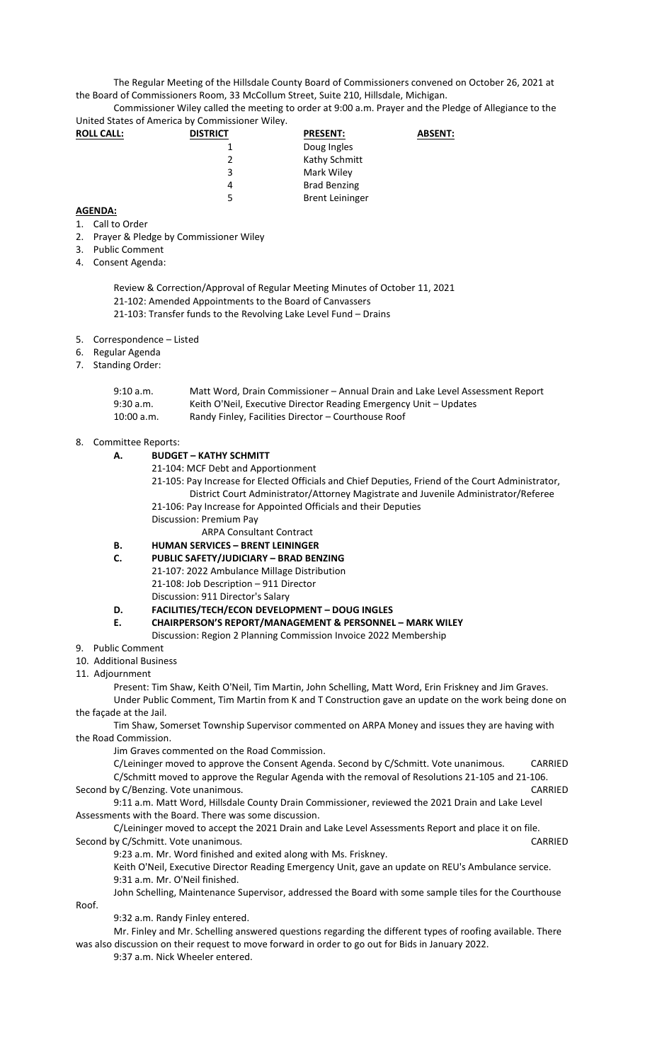The Regular Meeting of the Hillsdale County Board of Commissioners convened on October 26, 2021 at the Board of Commissioners Room, 33 McCollum Street, Suite 210, Hillsdale, Michigan.

Commissioner Wiley called the meeting to order at 9:00 a.m. Prayer and the Pledge of Allegiance to the United States of America by Commissioner Wiley.

| <b>ROLL CALL:</b> | <b>DISTRICT</b> | <b>PRESENT:</b>        | <b>ABSENT:</b> |
|-------------------|-----------------|------------------------|----------------|
|                   |                 | Doug Ingles            |                |
|                   |                 | Kathy Schmitt          |                |
|                   | 3               | Mark Wiley             |                |
|                   | 4               | <b>Brad Benzing</b>    |                |
|                   | 5               | <b>Brent Leininger</b> |                |

## **AGENDA:**

- 1. Call to Order
- 2. Prayer & Pledge by Commissioner Wiley
- 3. Public Comment
- 4. Consent Agenda:

Review & Correction/Approval of Regular Meeting Minutes of October 11, 2021 21-102: Amended Appointments to the Board of Canvassers 21-103: Transfer funds to the Revolving Lake Level Fund – Drains

- 5. Correspondence Listed
- 6. Regular Agenda
- 7. Standing Order:

| 9:10 a.m.  | Matt Word, Drain Commissioner – Annual Drain and Lake Level Assessment Report |
|------------|-------------------------------------------------------------------------------|
| 9:30 a.m.  | Keith O'Neil, Executive Director Reading Emergency Unit - Updates             |
| 10:00 a.m. | Randy Finley, Facilities Director - Courthouse Roof                           |

## 8. Committee Reports:

- **A. BUDGET KATHY SCHMITT** 
	- 21-104: MCF Debt and Apportionment
	- 21-105: Pay Increase for Elected Officials and Chief Deputies, Friend of the Court Administrator, District Court Administrator/Attorney Magistrate and Juvenile Administrator/Referee 21-106: Pay Increase for Appointed Officials and their Deputies
	- Discussion: Premium Pay

ARPA Consultant Contract

- **B. HUMAN SERVICES BRENT LEININGER**
- **C. PUBLIC SAFETY/JUDICIARY BRAD BENZING**  21-107: 2022 Ambulance Millage Distribution 21-108: Job Description – 911 Director Discussion: 911 Director's Salary

## **D. FACILITIES/TECH/ECON DEVELOPMENT – DOUG INGLES**

- **E. CHAIRPERSON'S REPORT/MANAGEMENT & PERSONNEL MARK WILEY** 
	- Discussion: Region 2 Planning Commission Invoice 2022 Membership
- 9. Public Comment
- 10. Additional Business
- 11. Adjournment

Present: Tim Shaw, Keith O'Neil, Tim Martin, John Schelling, Matt Word, Erin Friskney and Jim Graves. Under Public Comment, Tim Martin from K and T Construction gave an update on the work being done on the façade at the Jail.

Tim Shaw, Somerset Township Supervisor commented on ARPA Money and issues they are having with the Road Commission.

Jim Graves commented on the Road Commission.

| C/Leininger moved to approve the Consent Agenda. Second by C/Schmitt. Vote unanimous.            |  | CARRIED |
|--------------------------------------------------------------------------------------------------|--|---------|
| C/Schmitt moved to approve the Regular Agenda with the removal of Resolutions 21-105 and 21-106. |  |         |
| Second by C/Benzing. Vote unanimous.                                                             |  | CARRIED |
|                                                                                                  |  |         |

9:11 a.m. Matt Word, Hillsdale County Drain Commissioner, reviewed the 2021 Drain and Lake Level Assessments with the Board. There was some discussion.

C/Leininger moved to accept the 2021 Drain and Lake Level Assessments Report and place it on file. Second by C/Schmitt. Vote unanimous. CARRIED

9:23 a.m. Mr. Word finished and exited along with Ms. Friskney.

Keith O'Neil, Executive Director Reading Emergency Unit, gave an update on REU's Ambulance service. 9:31 a.m. Mr. O'Neil finished.

John Schelling, Maintenance Supervisor, addressed the Board with some sample tiles for the Courthouse Roof.

9:32 a.m. Randy Finley entered.

Mr. Finley and Mr. Schelling answered questions regarding the different types of roofing available. There was also discussion on their request to move forward in order to go out for Bids in January 2022.

9:37 a.m. Nick Wheeler entered.